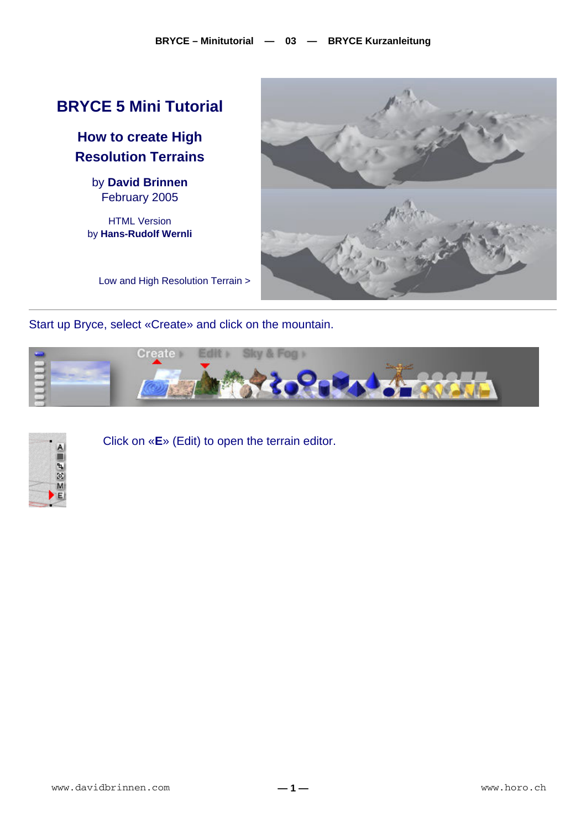## **BRYCE 5 Mini Tutorial**

**How to create High Resolution Terrains** 

> by **David Brinnen** February 2005

HTML Version by **Hans-Rudolf Wernli**



Low and High Resolution Terrain >

Start up Bryce, select «Create» and click on the mountain.





Click on «**E**» (Edit) to open the terrain editor.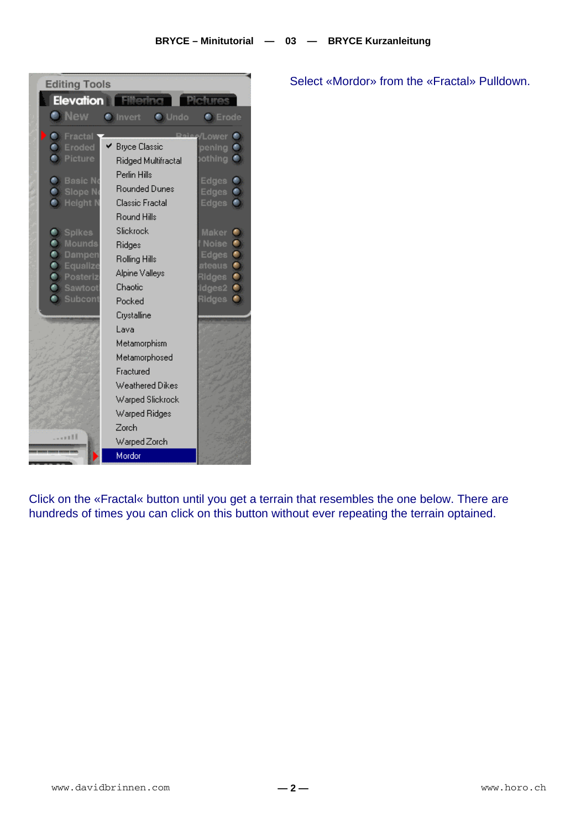| <b>Editing Tools</b>                   |                                  |                                         |
|----------------------------------------|----------------------------------|-----------------------------------------|
| <b>Elevation</b>                       | - Filtori                        |                                         |
| <b>O</b> New                           | <b>O</b> Undo<br><b>C</b> Invert | <b>C</b> Erode                          |
| <b>C</b> Fractal                       |                                  | also/Lower <sup>®</sup>                 |
| <b>C</b> Eroded                        | ► Bryce Classic                  | pening $\bullet$                        |
| <b>C</b> : Picture                     | Ridged Multifractal              | othing ●                                |
| <b>Basic No</b>                        | Perlin Hills                     |                                         |
| <b>C</b> Slope No                      | <b>Rounded Dunes</b>             | Edges $\bullet$<br>Edges <sup>(b)</sup> |
| <b>O</b> Height N                      | Classic Fractal                  | Edges $\bullet$                         |
|                                        | <b>Round Hills</b>               |                                         |
| <b>C</b> Spikes                        | Slickrock                        | Maker <sup>@</sup>                      |
| <b>Mounds</b>                          | Ridges                           | Noise $\bullet$                         |
| <b>O</b> Dampen                        | Rolling Hills                    | Edges <sup>(b)</sup>                    |
| <b>C</b> Equalize<br><b>C</b> Posteriz | Alpine Valleys                   | ateaus <b>O</b><br>Ridges $\bullet$     |
| <b>C</b> Sawtoot                       | Chaotic                          | $idges2$ $\bullet$                      |
| <b>C</b> : Subcont                     | Pocked                           | Ridges <b>O</b>                         |
|                                        | Crystalline                      |                                         |
|                                        | Lava                             |                                         |
|                                        | Metamorphism                     |                                         |
|                                        | Metamorphosed                    |                                         |
|                                        | Fractured                        |                                         |
|                                        | Weathered Dikes                  |                                         |
|                                        | Warped Slickrock                 |                                         |
|                                        | Warped Ridges                    |                                         |
|                                        | Zorch                            |                                         |
| <b></b>                                | Warped Zorch                     |                                         |
|                                        | Mordor                           |                                         |

Select «Mordor» from the «Fractal» Pulldown.

Click on the «Fractal« button until you get a terrain that resembles the one below. There are hundreds of times you can click on this button without ever repeating the terrain optained.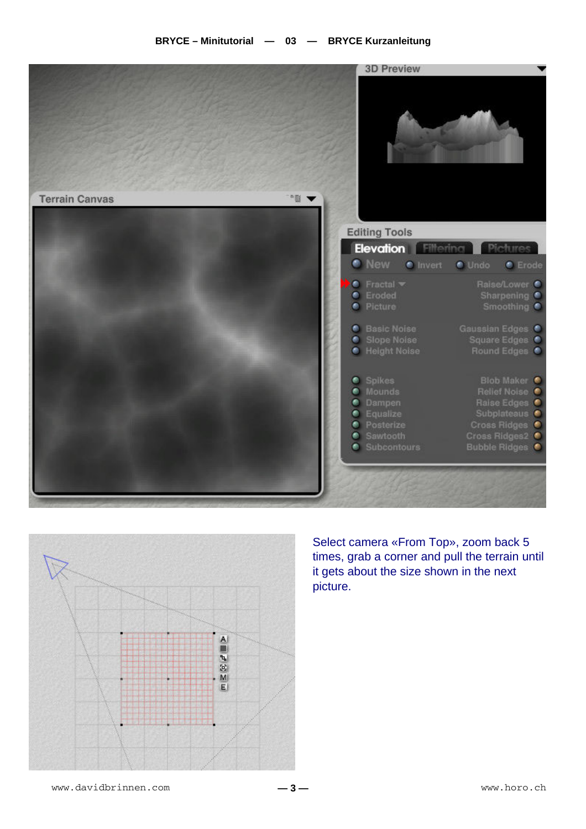



Select camera «From Top», zoom back 5 times, grab a corner and pull the terrain until it gets about the size shown in the next picture.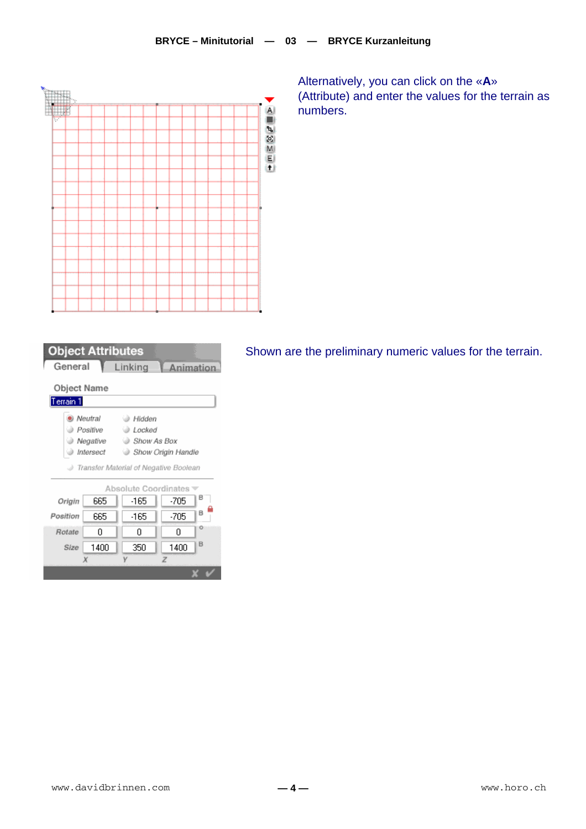

Alternatively, you can click on the «A» (Attribute) and enter the values for the terrain as numbers.

| <b>Object Attributes</b>                |         |          |           |   |  |  |
|-----------------------------------------|---------|----------|-----------|---|--|--|
| General                                 |         | Linking  | Animation |   |  |  |
| Object Name<br>Terrain 1                |         |          |           |   |  |  |
|                                         | Neutral | A Hidden |           |   |  |  |
| Positive<br>⊚ Locked                    |         |          |           |   |  |  |
| Negative<br>Show As Box                 |         |          |           |   |  |  |
| Intersect<br>Show Origin Handle         |         |          |           |   |  |  |
| Transfer Material of Negative Boolean ( |         |          |           |   |  |  |
| Absolute Coordinates                    |         |          |           |   |  |  |
| Origin                                  | 665     | -165     | -705      | в |  |  |
| Position                                | 665     | -165     | $-705$    | в |  |  |
| Rotate                                  | n       | n        | n         | o |  |  |
| Size                                    | 1400    | 350      | 1400      | B |  |  |
|                                         |         |          | Z         |   |  |  |

 $\mathbf{x} \times$ 

Shown are the preliminary numeric values for the terrain.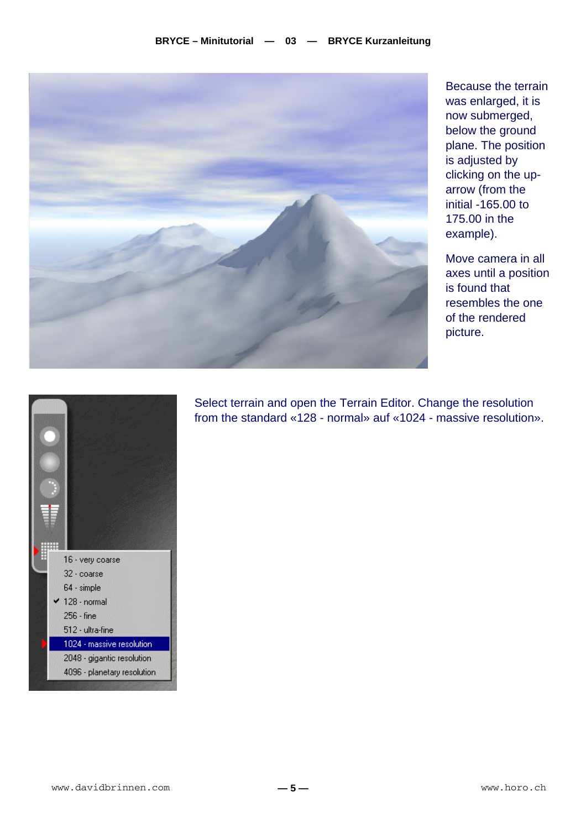

Because the terrain was enlarged, it is now submerged, below the ground plane. The position is adjusted by clicking on the uparrow (from the initial -165.00 to 175.00 in the example).

Move camera in all axes until a position is found that resembles the one of the rendered picture.



Select terrain and open the Terrain Editor. Change the resolution from the standard «128 - normal» auf «1024 - massive resolution».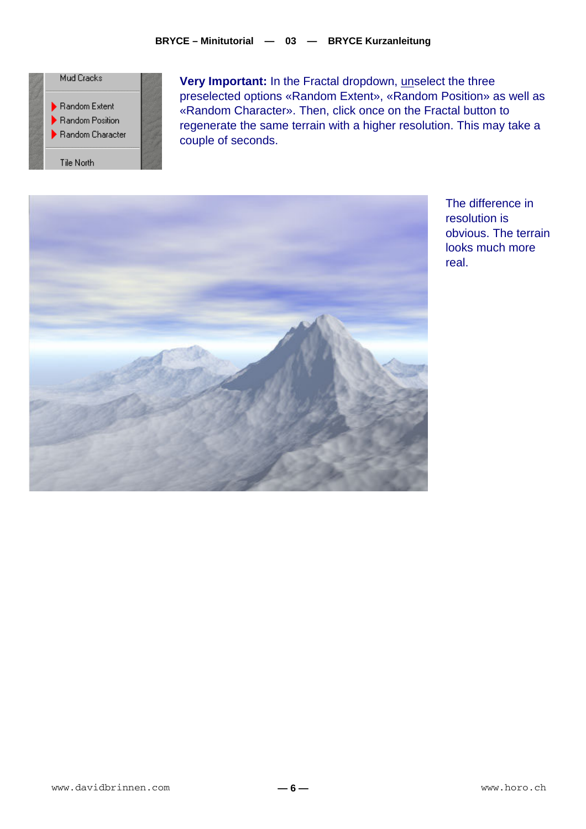

**Very Important:** In the Fractal dropdown, unselect the three preselected options «Random Extent», «Random Position» as well as «Random Character». Then, click once on the Fractal button to regenerate the same terrain with a higher resolution. This may take a couple of seconds.



The difference in resolution is obvious. The terrain looks much more real.